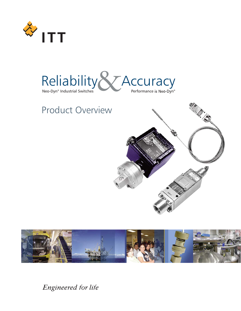



# Product Overview





Engineered for life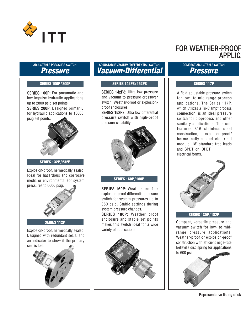

#### ADJUSTABLE PRESSURE SWITCH **Pressure**

SERIES 100P: For pneumatic and low impulse hydraulic applications up to 2800 psig set points SERIES 200P: Designed primarily for hydraulic applications to 10000 psig set points.



**SERIES 132P/ 232P**

Explosion-proof, hermetically sealed. Ideal for hazardous and corrosive media or environments. For system pressures to 6000 psig.  $\bigcirc$  SERIES 160P: Weather-proof or



**SERIES 112P**

Explosion-proof, hermetically sealed.  $\vert \vert$  variety of applications. Designed with redundant seals, and an indicator to show if the primary seal is lost.



### ADJUSTABLE VACUUM/ DIFFERENTIAL SWITCH **Vacuum-Differential**

#### **SERIES 100P/ 200P SERIES 142P8/ 152P8 SERIES 117P**

SERIES 142P8: Ultra low pressure and vacuum to pressure crossover switch. Weather-proof or explosionproof enclosures.

SERIES 152P8: Ultra low differential pressure switch with high-proof pressure capability.



#### **SERIES 160P/ 180P**

explosion-proof differential pressure switch for system pressures up to 350 psig. Stable settings during system pressure changes.

SERIES 180P: Weather proof enclosure and stable set points makes this switch ideal for a wide



# FOR WEATHER-PROOF **APPLIC**

#### COMPACT ADJUSTABLE SWITCH **Pressure**

A field adjustable pressure switch for low- to mid-range process applications. The Series 117P, which utilizes a Tri-Clamp® process connection, is an ideal pressure switch for bioprocess and other sanitary applications. This unit features 316 stainless steel construction, an explosion-proof/ hermetically sealed electrical module, 18" standard free leads and SPDT or DPDT electrical forms.



#### **SERIES 130P/ 182P**

Compact, versatile pressure and vacuum switch for low- to midrange pressure applications. Weather-proof or explosion-proof construction with efficient nega-rate Belleville disc spring for applications to 600 psi.

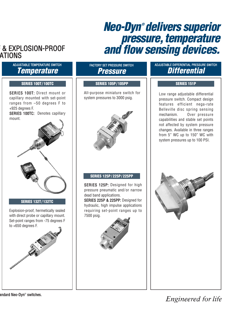# **Neo-Dyn® delivers superior** pressure, temperature **& EXPLOSION-PROOF** *and flow sensing devices.*

# ATIONS

## ADJUSTABLE TEMPERATURE SWITCH **Temperature**

SERIES 100T: Direct mount or capillary mounted with set-point ranges from –50 degrees F to +925 degrees F. SERIES 100TC: Denotes capillary



#### **SERIES 132T/ 132TC**

Explosion-proof, hermetically sealed with direct probe or capillary mount. Set-point ranges from -75 degrees F to +650 degrees F.



## FACTORY SET PRESSURE SWITCH **Pressure**

#### **SERIES 100T/ 100TC SERIES 105P/ 105PP**

All-purpose miniature switch for system pressures to 3000 psig.

#### **SERIES 125P/ 225P/ 225PP**

SERIES 125P: Designed for high pressure pneumatic and/or narrow dead band applications. SERIES 225P & 225PP: Designed for hydraulic, high impulse applications

requiring set-point ranges up to 7500 psig.



### ADJUSTABLE DIFFERENTIAL PRESSURE SWITCH **Differential**

#### **SERIES 151P**

Low range adjustable differential pressure switch. Compact design features efficient nega-rate Belleville disc spring sensing mechanism. Over pressure capabilities and stable set points not affected by system pressure changes. Available in three ranges from 5" WC up to 150" WC with system pressures up to 100 PSI.



# Engineered for life